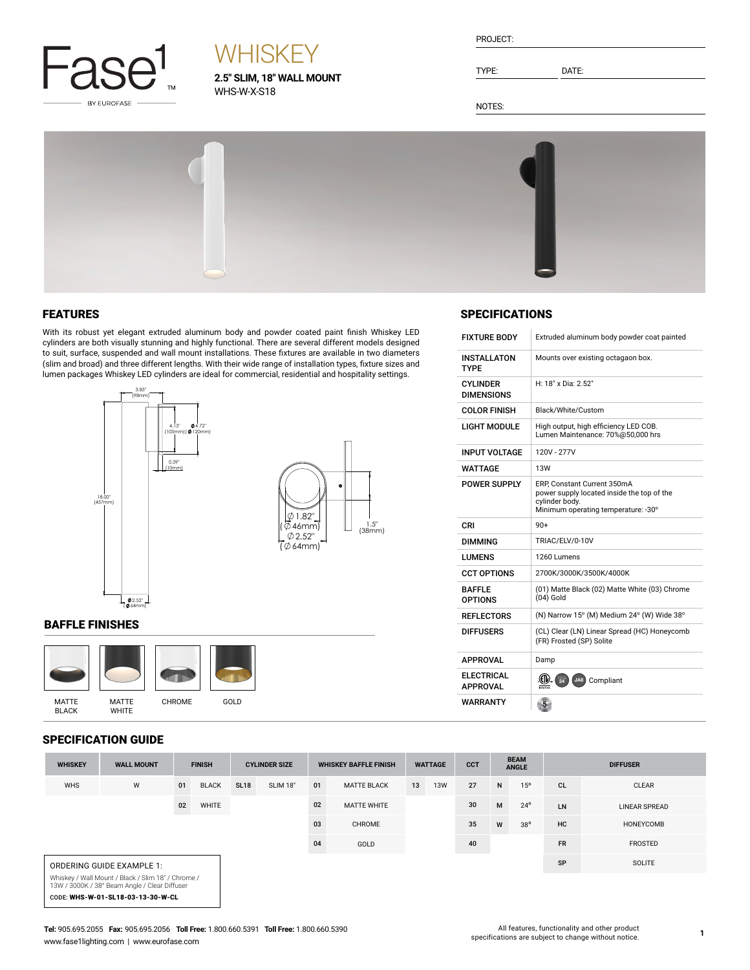

# **WHISKEY**

**2.5" SLIM, 18" WALL MOUNT** WHS-W-X-S18

| PROJECT: |
|----------|
|          |

TYPE: DATE:

NOTES:



#### FEATURES

With its robust yet elegant extruded aluminum body and powder coated paint finish Whiskey LED cylinders are both visually stunning and highly functional. There are several different models designed to suit, surface, suspended and wall mount installations. These fixtures are available in two diameters (slim and broad) and three different lengths. With their wide range of installation types, fixture sizes and lumen packages Whiskey LED cylinders are ideal for commercial, residential and hospitality settings.



#### BAFFLE FINISHES



### SPECIFICATION GUIDE

| 91 EVII IVALIVII VVIPE                                                                              |                   |               |              |                      |                 |                              |                    |                |            |            |                             |              |                 |                |
|-----------------------------------------------------------------------------------------------------|-------------------|---------------|--------------|----------------------|-----------------|------------------------------|--------------------|----------------|------------|------------|-----------------------------|--------------|-----------------|----------------|
| <b>WHISKEY</b>                                                                                      | <b>WALL MOUNT</b> | <b>FINISH</b> |              | <b>CYLINDER SIZE</b> |                 | <b>WHISKEY BAFFLE FINISH</b> |                    | <b>WATTAGE</b> |            | <b>CCT</b> | <b>BEAM</b><br><b>ANGLE</b> |              | <b>DIFFUSER</b> |                |
| <b>WHS</b>                                                                                          | W                 | 01            | <b>BLACK</b> | <b>SL18</b>          | <b>SLIM 18"</b> | 01                           | <b>MATTE BLACK</b> | 13             | <b>13W</b> | 27         | N                           | 15°          | <b>CL</b>       | <b>CLEAR</b>   |
|                                                                                                     |                   | 02            | WHITE        |                      |                 | 02                           | <b>MATTE WHITE</b> |                |            | 30         | M                           | $24^{\circ}$ | LN              | LINEAR SPREAD  |
|                                                                                                     |                   |               |              |                      |                 | 03                           | CHROME             |                |            | 35         | W                           | $38^{\circ}$ | <b>HC</b>       | HONEYCOMB      |
|                                                                                                     |                   |               |              |                      |                 | 04                           | GOLD               |                |            | 40         |                             |              | <b>FR</b>       | <b>FROSTED</b> |
| ORDERING GUIDE EXAMPLE 1:                                                                           |                   |               |              |                      |                 |                              |                    |                |            |            |                             | SP           | SOLITE          |                |
| Whiskey / Wall Mount / Black / Slim 18" / Chrome /<br>13W / 3000K / 38° Beam Angle / Clear Diffuser |                   |               |              |                      |                 |                              |                    |                |            |            |                             |              |                 |                |
| CODE: WHS-W-01-SL18-03-13-30-W-CL                                                                   |                   |               |              |                      |                 |                              |                    |                |            |            |                             |              |                 |                |

### **SPECIFICATIONS**

| <b>FIXTURE BODY</b>                  | Extruded aluminum body powder coat painted                                                                                          |
|--------------------------------------|-------------------------------------------------------------------------------------------------------------------------------------|
| <b>INSTALLATON</b><br><b>TYPE</b>    | Mounts over existing octagaon box.                                                                                                  |
| <b>CYLINDER</b><br><b>DIMENSIONS</b> | H: 18" x Dia: 2.52"                                                                                                                 |
| <b>COLOR FINISH</b>                  | Black/White/Custom                                                                                                                  |
| <b>LIGHT MODULE</b>                  | High output, high efficiency LED COB.<br>Lumen Maintenance: 70%@50,000 hrs                                                          |
| <b>INPUT VOLTAGE</b>                 | 120V - 277V                                                                                                                         |
| WATTAGE                              | 13W                                                                                                                                 |
| <b>POWER SUPPLY</b>                  | ERP, Constant Current 350mA<br>power supply located inside the top of the<br>cylinder body.<br>Minimum operating temperature: - 30° |
| CRI                                  | $90+$                                                                                                                               |
| <b>DIMMING</b>                       | TRIAC/ELV/0-10V                                                                                                                     |
| LUMENS                               | 1260 Lumens                                                                                                                         |
| <b>CCT OPTIONS</b>                   | 2700K/3000K/3500K/4000K                                                                                                             |
| <b>BAFFLE</b><br><b>OPTIONS</b>      | (01) Matte Black (02) Matte White (03) Chrome<br>$(04)$ Gold                                                                        |
| <b>REFLECTORS</b>                    | (N) Narrow 15° (M) Medium 24° (W) Wide 38°                                                                                          |
| <b>DIFFUSERS</b>                     | (CL) Clear (LN) Linear Spread (HC) Honeycomb<br>(FR) Frosted (SP) Solite                                                            |
| <b>APPROVAL</b>                      | Damp                                                                                                                                |
| <b>ELECTRICAL</b><br><b>APPROVAL</b> | 圆<br>JAB<br>Compliant                                                                                                               |
| WARRANTY                             |                                                                                                                                     |